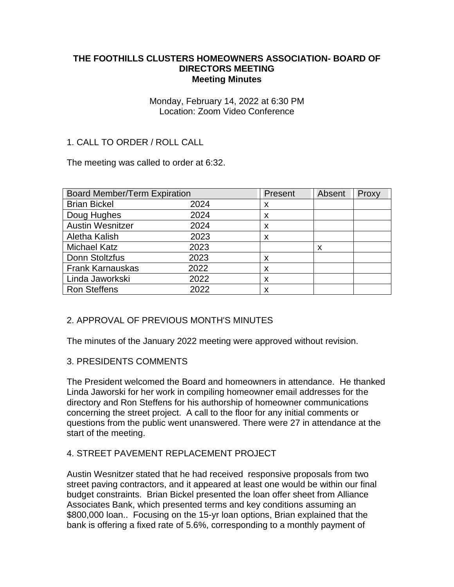#### **THE FOOTHILLS CLUSTERS HOMEOWNERS ASSOCIATION- BOARD OF DIRECTORS MEETING Meeting Minutes**

#### Monday, February 14, 2022 at 6:30 PM Location: Zoom Video Conference

# 1. CALL TO ORDER / ROLL CALL

The meeting was called to order at 6:32.

| <b>Board Member/Term Expiration</b> |      | Present | Absent | Proxy |
|-------------------------------------|------|---------|--------|-------|
| <b>Brian Bickel</b>                 | 2024 | x       |        |       |
| Doug Hughes                         | 2024 | X       |        |       |
| <b>Austin Wesnitzer</b>             | 2024 | X       |        |       |
| Aletha Kalish                       | 2023 | X       |        |       |
| <b>Michael Katz</b>                 | 2023 |         | X      |       |
| Donn Stoltzfus                      | 2023 | X       |        |       |
| <b>Frank Karnauskas</b>             | 2022 | X       |        |       |
| Linda Jaworkski                     | 2022 | X       |        |       |
| <b>Ron Steffens</b>                 | 2022 | X       |        |       |

### 2. APPROVAL OF PREVIOUS MONTH'S MINUTES

The minutes of the January 2022 meeting were approved without revision.

### 3. PRESIDENTS COMMENTS

The President welcomed the Board and homeowners in attendance. He thanked Linda Jaworski for her work in compiling homeowner email addresses for the directory and Ron Steffens for his authorship of homeowner communications concerning the street project. A call to the floor for any initial comments or questions from the public went unanswered. There were 27 in attendance at the start of the meeting.

### 4. STREET PAVEMENT REPLACEMENT PROJECT

Austin Wesnitzer stated that he had received responsive proposals from two street paving contractors, and it appeared at least one would be within our final budget constraints. Brian Bickel presented the loan offer sheet from Alliance Associates Bank, which presented terms and key conditions assuming an \$800,000 loan.. Focusing on the 15-yr loan options, Brian explained that the bank is offering a fixed rate of 5.6%, corresponding to a monthly payment of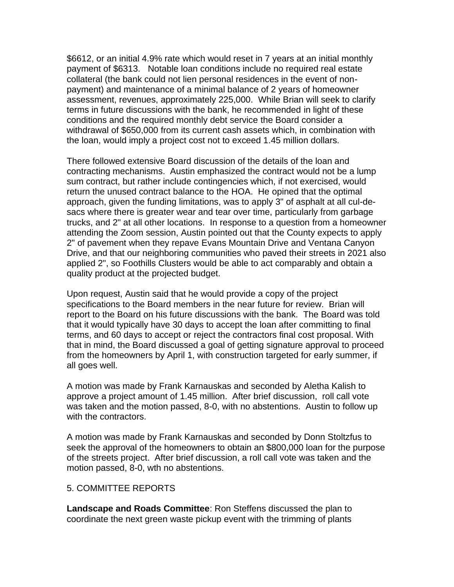\$6612, or an initial 4.9% rate which would reset in 7 years at an initial monthly payment of \$6313. Notable loan conditions include no required real estate collateral (the bank could not lien personal residences in the event of nonpayment) and maintenance of a minimal balance of 2 years of homeowner assessment, revenues, approximately 225,000. While Brian will seek to clarify terms in future discussions with the bank, he recommended in light of these conditions and the required monthly debt service the Board consider a withdrawal of \$650,000 from its current cash assets which, in combination with the loan, would imply a project cost not to exceed 1.45 million dollars.

There followed extensive Board discussion of the details of the loan and contracting mechanisms. Austin emphasized the contract would not be a lump sum contract, but rather include contingencies which, if not exercised, would return the unused contract balance to the HOA. He opined that the optimal approach, given the funding limitations, was to apply 3" of asphalt at all cul-desacs where there is greater wear and tear over time, particularly from garbage trucks, and 2" at all other locations. In response to a question from a homeowner attending the Zoom session, Austin pointed out that the County expects to apply 2" of pavement when they repave Evans Mountain Drive and Ventana Canyon Drive, and that our neighboring communities who paved their streets in 2021 also applied 2", so Foothills Clusters would be able to act comparably and obtain a quality product at the projected budget.

Upon request, Austin said that he would provide a copy of the project specifications to the Board members in the near future for review. Brian will report to the Board on his future discussions with the bank. The Board was told that it would typically have 30 days to accept the loan after committing to final terms, and 60 days to accept or reject the contractors final cost proposal. With that in mind, the Board discussed a goal of getting signature approval to proceed from the homeowners by April 1, with construction targeted for early summer, if all goes well.

A motion was made by Frank Karnauskas and seconded by Aletha Kalish to approve a project amount of 1.45 million. After brief discussion, roll call vote was taken and the motion passed, 8-0, with no abstentions. Austin to follow up with the contractors.

A motion was made by Frank Karnauskas and seconded by Donn Stoltzfus to seek the approval of the homeowners to obtain an \$800,000 loan for the purpose of the streets project. After brief discussion, a roll call vote was taken and the motion passed, 8-0, wth no abstentions.

#### 5. COMMITTEE REPORTS

**Landscape and Roads Committee**: Ron Steffens discussed the plan to coordinate the next green waste pickup event with the trimming of plants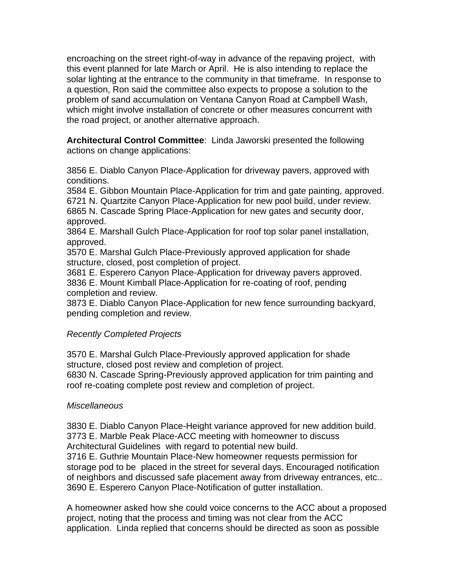encroaching on the street right-of-way in advance of the repaving project, with this event planned for late March or April. He is also intending to replace the solar lighting at the entrance to the community in that timeframe. In response to a question, Ron said the committee also expects to propose a solution to the problem of sand accumulation on Ventana Canyon Road at Campbell Wash, which might involve installation of concrete or other measures concurrent with the road project, or another alternative approach.

**Architectural Control Committee**: Linda Jaworski presented the following actions on change applications:

3856 E. Diablo Canyon Place-Application for driveway pavers, approved with conditions.

3584 E. Gibbon Mountain Place-Application for trim and gate painting, approved.

6721 N. Quartzite Canyon Place-Application for new pool build, under review.

6865 N. Cascade Spring Place-Application for new gates and security door, approved.

3864 E. Marshall Gulch Place-Application for roof top solar panel installation, approved.

3570 E. Marshal Gulch Place-Previously approved application for shade structure, closed, post completion of project.

3681 E. Esperero Canyon Place-Application for driveway pavers approved. 3836 E. Mount Kimball Place-Application for re-coating of roof, pending completion and review.

3873 E. Diablo Canyon Place-Application for new fence surrounding backyard, pending completion and review.

# *Recently Completed Projects*

3570 E. Marshal Gulch Place-Previously approved application for shade structure, closed post review and completion of project.

6830 N. Cascade Spring-Previously approved application for trim painting and roof re-coating complete post review and completion of project.

# *Miscellaneous*

3830 E. Diablo Canyon Place-Height variance approved for new addition build. 3773 E. Marble Peak Place-ACC meeting with homeowner to discuss Architectural Guidelines with regard to potential new build. 3716 E. Guthrie Mountain Place-New homeowner requests permission for storage pod to be placed in the street for several days. Encouraged notification of neighbors and discussed safe placement away from driveway entrances, etc.. 3690 E. Esperero Canyon Place-Notification of gutter installation.

A homeowner asked how she could voice concerns to the ACC about a proposed project, noting that the process and timing was not clear from the ACC application. Linda replied that concerns should be directed as soon as possible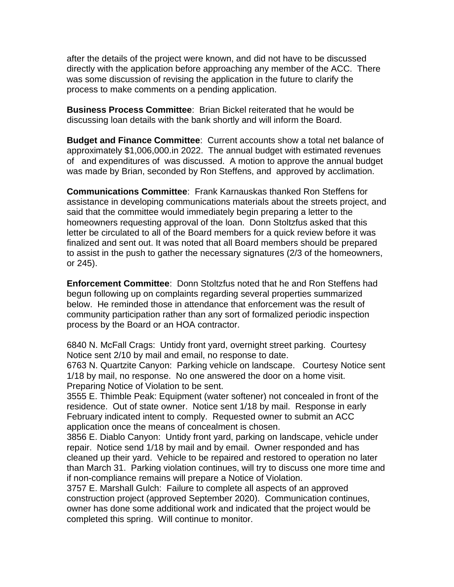after the details of the project were known, and did not have to be discussed directly with the application before approaching any member of the ACC. There was some discussion of revising the application in the future to clarify the process to make comments on a pending application.

**Business Process Committee**: Brian Bickel reiterated that he would be discussing loan details with the bank shortly and will inform the Board.

**Budget and Finance Committee**: Current accounts show a total net balance of approximately \$1,006,000.in 2022. The annual budget with estimated revenues of and expenditures of was discussed. A motion to approve the annual budget was made by Brian, seconded by Ron Steffens, and approved by acclimation.

**Communications Committee**: Frank Karnauskas thanked Ron Steffens for assistance in developing communications materials about the streets project, and said that the committee would immediately begin preparing a letter to the homeowners requesting approval of the loan. Donn Stoltzfus asked that this letter be circulated to all of the Board members for a quick review before it was finalized and sent out. It was noted that all Board members should be prepared to assist in the push to gather the necessary signatures (2/3 of the homeowners, or 245).

**Enforcement Committee**: Donn Stoltzfus noted that he and Ron Steffens had begun following up on complaints regarding several properties summarized below. He reminded those in attendance that enforcement was the result of community participation rather than any sort of formalized periodic inspection process by the Board or an HOA contractor.

6840 N. McFall Crags: Untidy front yard, overnight street parking. Courtesy Notice sent 2/10 by mail and email, no response to date.

6763 N. Quartzite Canyon: Parking vehicle on landscape. Courtesy Notice sent 1/18 by mail, no response. No one answered the door on a home visit. Preparing Notice of Violation to be sent.

3555 E. Thimble Peak: Equipment (water softener) not concealed in front of the residence. Out of state owner. Notice sent 1/18 by mail. Response in early February indicated intent to comply. Requested owner to submit an ACC application once the means of concealment is chosen.

3856 E. Diablo Canyon: Untidy front yard, parking on landscape, vehicle under repair. Notice send 1/18 by mail and by email. Owner responded and has cleaned up their yard. Vehicle to be repaired and restored to operation no later than March 31. Parking violation continues, will try to discuss one more time and if non-compliance remains will prepare a Notice of Violation.

3757 E. Marshall Gulch: Failure to complete all aspects of an approved construction project (approved September 2020). Communication continues, owner has done some additional work and indicated that the project would be completed this spring. Will continue to monitor.